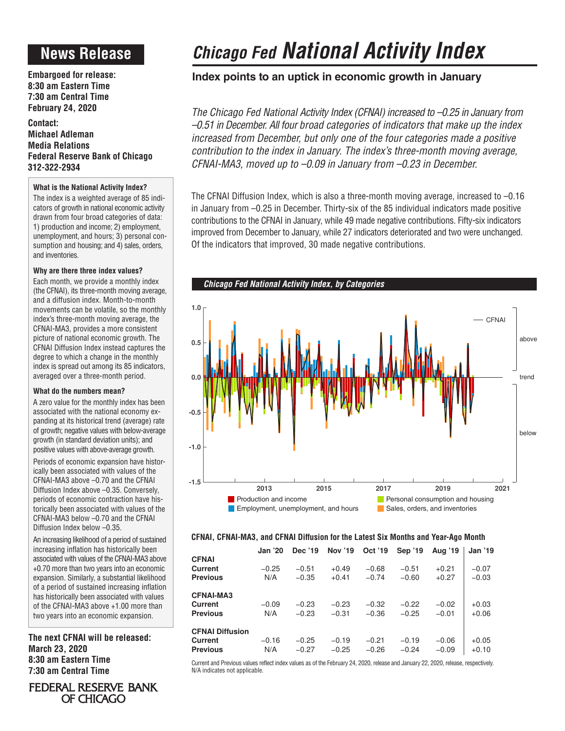# **News Release**

**Embargoed for release: 8:30 am Eastern Time 7:30 am Central Time February 24, 2020**

**Contact: Michael Adleman Media Relations Federal Reserve Bank of Chicago 312-322-2934**

# **What is the National Activity Index?**

The index is a weighted average of 85 indicators of growth in national economic activity drawn from four broad categories of data: 1) production and income; 2) employment, unemployment, and hours; 3) personal consumption and housing; and 4) sales, orders, and inventories.

# **Why are there three index values?**

Each month, we provide a monthly index (the CFNAI), its three-month moving average, and a diffusion index. Month-to-month movements can be volatile, so the monthly index's three-month moving average, the CFNAI-MA3, provides a more consistent picture of national economic growth. The CFNAI Diffusion Index instead captures the degree to which a change in the monthly index is spread out among its 85 indicators, averaged over a three-month period.

### **What do the numbers mean?**

A zero value for the monthly index has been associated with the national economy expanding at its historical trend (average) rate of growth; negative values with below-average growth (in standard deviation units); and positive values with above-average growth.

Periods of economic expansion have historically been associated with values of the CFNAI-MA3 above –0.70 and the CFNAI Diffusion Index above –0.35. Conversely, periods of economic contraction have historically been associated with values of the CFNAI-MA3 below –0.70 and the CFNAI Diffusion Index below –0.35.

An increasing likelihood of a period of sustained increasing inflation has historically been associated with values of the CFNAI-MA3 above +0.70 more than two years into an economic expansion. Similarly, a substantial likelihood of a period of sustained increasing inflation has historically been associated with values of the CFNAI-MA3 above +1.00 more than two years into an economic expansion.

**The next CFNAI will be released: March 23, 2020 8:30 am Eastern Time 7:30 am Central Time**

# FEDERAL RESERVE BANK OF CHICAGO

# *Chicago Fed National Activity Index*

# **Index points to an uptick in economic growth in January**

*The Chicago Fed National Activity Index (CFNAI) increased to –0.25 in January from –0.51 in December. All four broad categories of indicators that make up the index increased from December, but only one of the four categories made a positive contribution to the index in January. The index's three-month moving average, CFNAI-MA3, moved up to –0.09 in January from –0.23 in December.*

The CFNAI Diffusion Index, which is also a three-month moving average, increased to –0.16 in January from –0.25 in December. Thirty-six of the 85 individual indicators made positive contributions to the CFNAI in January, while 49 made negative contributions. Fifty-six indicators improved from December to January, while 27 indicators deteriorated and two were unchanged. Of the indicators that improved, 30 made negative contributions.



# **CFNAI, CFNAI-MA3, and CFNAI Diffusion for the Latest Six Months and Year-Ago Month**

|                        | <b>Jan '20</b> | Dec '19 | <b>Nov '19</b> | Oct '19 | Sep '19 | Aug '19 | <b>Jan '19</b> |
|------------------------|----------------|---------|----------------|---------|---------|---------|----------------|
| <b>CFNAI</b>           |                |         |                |         |         |         |                |
| <b>Current</b>         | $-0.25$        | $-0.51$ | $+0.49$        | $-0.68$ | $-0.51$ | $+0.21$ | $-0.07$        |
| <b>Previous</b>        | N/A            | $-0.35$ | $+0.41$        | $-0.74$ | $-0.60$ | $+0.27$ | $-0.03$        |
| <b>CFNAI-MA3</b>       |                |         |                |         |         |         |                |
| Current                | $-0.09$        | $-0.23$ | $-0.23$        | $-0.32$ | $-0.22$ | $-0.02$ | $+0.03$        |
| <b>Previous</b>        | N/A            | $-0.23$ | $-0.31$        | $-0.36$ | $-0.25$ | $-0.01$ | $+0.06$        |
| <b>CFNAI Diffusion</b> |                |         |                |         |         |         |                |
| Current                | $-0.16$        | $-0.25$ | $-0.19$        | $-0.21$ | $-0.19$ | $-0.06$ | $+0.05$        |
| <b>Previous</b>        | N/A            | $-0.27$ | $-0.25$        | $-0.26$ | $-0.24$ | $-0.09$ | $+0.10$        |

Current and Previous values reflect index values as of the February 24, 2020, release and January 22, 2020, release, respectively. N/A indicates not applicable.